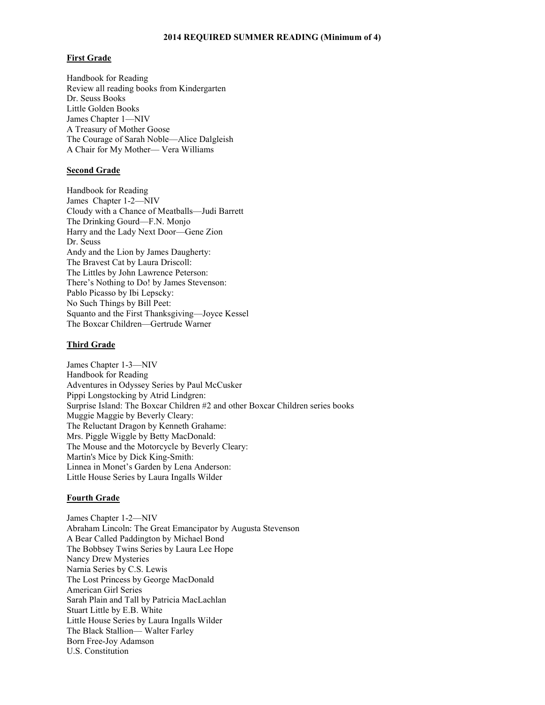### **2014 REQUIRED SUMMER READING (Minimum of 4)**

#### **First Grade**

Handbook for Reading Review all reading books from Kindergarten Dr. Seuss Books Little Golden Books James Chapter 1—NIV A Treasury of Mother Goose The Courage of Sarah Noble—Alice Dalgleish A Chair for My Mother— Vera Williams

### **Second Grade**

Handbook for Reading James Chapter 1-2—NIV Cloudy with a Chance of Meatballs—Judi Barrett The Drinking Gourd—F.N. Monjo Harry and the Lady Next Door—Gene Zion Dr. Seuss Andy and the Lion by James Daugherty: The Bravest Cat by Laura Driscoll: The Littles by John Lawrence Peterson: There's Nothing to Do! by James Stevenson: Pablo Picasso by Ibi Lepscky: No Such Things by Bill Peet: Squanto and the First Thanksgiving—Joyce Kessel The Boxcar Children—Gertrude Warner

#### **Third Grade**

James Chapter 1-3—NIV Handbook for Reading Adventures in Odyssey Series by Paul McCusker Pippi Longstocking by Atrid Lindgren: Surprise Island: The Boxcar Children #2 and other Boxcar Children series books Muggie Maggie by Beverly Cleary: The Reluctant Dragon by Kenneth Grahame: Mrs. Piggle Wiggle by Betty MacDonald: The Mouse and the Motorcycle by Beverly Cleary: Martin's Mice by Dick King-Smith: Linnea in Monet's Garden by Lena Anderson: Little House Series by Laura Ingalls Wilder

#### **Fourth Grade**

James Chapter 1-2—NIV Abraham Lincoln: The Great Emancipator by Augusta Stevenson A Bear Called Paddington by Michael Bond The Bobbsey Twins Series by Laura Lee Hope Nancy Drew Mysteries Narnia Series by C.S. Lewis The Lost Princess by George MacDonald American Girl Series Sarah Plain and Tall by Patricia MacLachlan Stuart Little by E.B. White Little House Series by Laura Ingalls Wilder The Black Stallion— Walter Farley Born Free-Joy Adamson U.S. Constitution